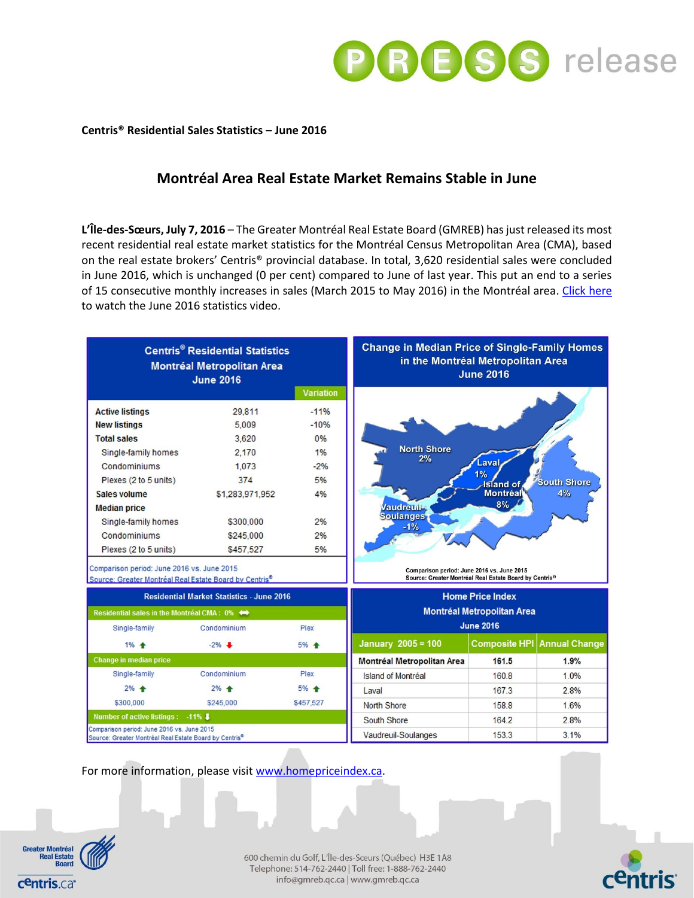

## **Centris® Residential Sales Statistics – June 2016**

# **Montréal Area Real Estate Market Remains Stable in June**

**L'Île-des-Sœurs, July 7, 2016** – The Greater Montréal Real Estate Board (GMREB) has just released its most recent residential real estate market statistics for the Montréal Census Metropolitan Area (CMA), based on the real estate brokers' Centris® provincial database. In total, 3,620 residential sales were concluded in June 2016, which is unchanged (0 per cent) compared to June of last year. This put an end to a series of 15 consecutive monthly increases in sales (March 2015 to May 2016) in the Montréal area. [Click here](https://youtu.be/v5p_9ZygBBQ) to watch the June 2016 statistics video.

| <b>Centris<sup>®</sup> Residential Statistics</b><br><b>Montréal Metropolitan Area</b><br><b>June 2016</b> |                   |                  | <b>Change in Median Price of Single-Family Homes</b><br>in the Montréal Metropolitan Area<br><b>June 2016</b> |                      |                      |
|------------------------------------------------------------------------------------------------------------|-------------------|------------------|---------------------------------------------------------------------------------------------------------------|----------------------|----------------------|
|                                                                                                            |                   | <b>Variation</b> |                                                                                                               |                      |                      |
| <b>Active listings</b>                                                                                     | 29,811            | $-11%$           |                                                                                                               |                      |                      |
| <b>New listings</b>                                                                                        | 5.009             | $-10%$           |                                                                                                               |                      |                      |
| <b>Total sales</b>                                                                                         | 3.620             | 0%               |                                                                                                               |                      |                      |
| Single-family homes                                                                                        | 2.170             | 1%               | <b>North Shore</b><br>2%                                                                                      |                      |                      |
| Condominiums                                                                                               | 1.073             | $-2%$            |                                                                                                               | .aval                |                      |
| Plexes (2 to 5 units)                                                                                      | 374               | 5%               | 1%<br><b>South Shore</b><br><b>Island</b> of                                                                  |                      |                      |
| Sales volume                                                                                               | \$1,283,971,952   | 4%               |                                                                                                               | Montréal             | 4%                   |
| <b>Median price</b>                                                                                        |                   |                  | <b>Vaudreuil-</b>                                                                                             | 8%                   |                      |
| Single-family homes                                                                                        | \$300,000         | 2%               | <b>Soulanges</b><br>$-1%$                                                                                     |                      |                      |
| Condominiums                                                                                               | \$245,000         | 2%               |                                                                                                               |                      |                      |
| Plexes (2 to 5 units)                                                                                      | \$457,527         | 5%               |                                                                                                               |                      |                      |
| Comparison period: June 2016 vs. June 2015<br>Source: Greater Montréal Real Estate Board by Centris®       |                   |                  | Comparison period: June 2016 vs. June 2015<br>Source: Greater Montréal Real Estate Board by Centris®          |                      |                      |
| <b>Residential Market Statistics - June 2016</b>                                                           |                   |                  | <b>Home Price Index</b><br><b>Montréal Metropolitan Area</b>                                                  |                      |                      |
| Residential sales in the Montréal CMA: 0%                                                                  |                   |                  |                                                                                                               |                      |                      |
| Single-family                                                                                              | Condominium       | Plex             |                                                                                                               | <b>June 2016</b>     |                      |
| $1\%$ $\triangleq$                                                                                         | $-2\%$            | 5% +             | <b>January 2005 = 100</b>                                                                                     | <b>Composite HPI</b> | <b>Annual Change</b> |
| <b>Change in median price</b>                                                                              |                   |                  | <b>Montréal Metropolitan Area</b>                                                                             | 161.5                | 1.9%                 |
| Single-family                                                                                              | Condominium       | Plex             | Island of Montréal                                                                                            | 160.8                | 1.0%                 |
| $2%$ $\triangle$                                                                                           | $2\%$ $\triangle$ | 5% +             | Laval                                                                                                         | 167.3                | 2.8%                 |
| \$300,000                                                                                                  | \$245,000         | \$457,527        | <b>North Shore</b>                                                                                            | 158.8                | 1.6%                 |
| Number of active listings: -11%                                                                            |                   |                  |                                                                                                               |                      |                      |
|                                                                                                            |                   |                  | South Shore                                                                                                   | 164.2                | 2.8%                 |

For more information, please visi[t www.homepriceindex.ca.](http://www.homepriceindex.ca/)



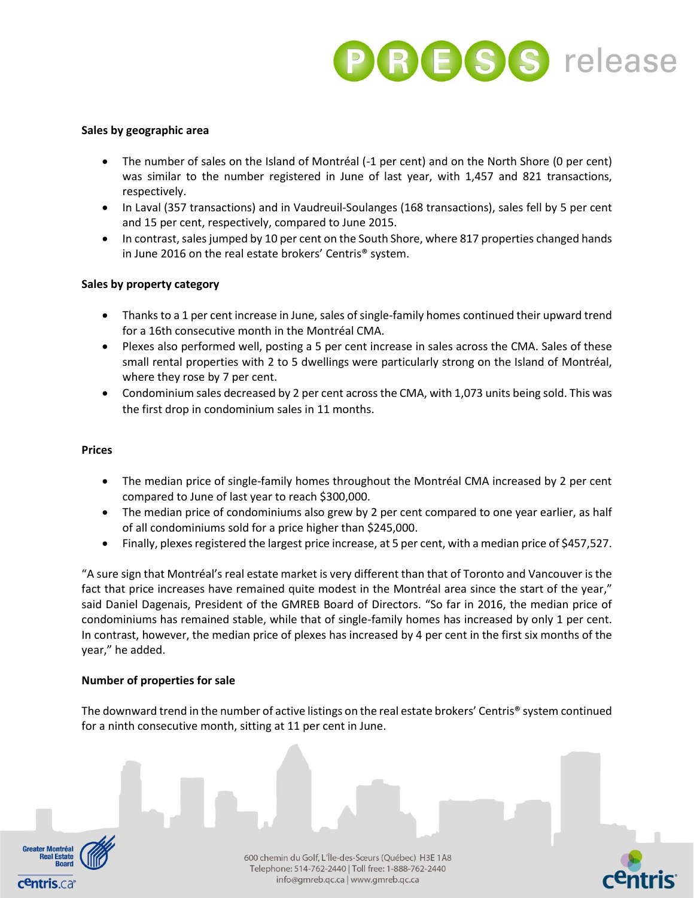

## **Sales by geographic area**

- The number of sales on the Island of Montréal (-1 per cent) and on the North Shore (0 per cent) was similar to the number registered in June of last year, with 1,457 and 821 transactions, respectively.
- In Laval (357 transactions) and in Vaudreuil-Soulanges (168 transactions), sales fell by 5 per cent and 15 per cent, respectively, compared to June 2015.
- In contrast, sales jumped by 10 per cent on the South Shore, where 817 properties changed hands in June 2016 on the real estate brokers' Centris® system.

## **Sales by property category**

- Thanks to a 1 per cent increase in June, sales of single-family homes continued their upward trend for a 16th consecutive month in the Montréal CMA.
- Plexes also performed well, posting a 5 per cent increase in sales across the CMA. Sales of these small rental properties with 2 to 5 dwellings were particularly strong on the Island of Montréal, where they rose by 7 per cent.
- Condominium sales decreased by 2 per cent across the CMA, with 1,073 units being sold. This was the first drop in condominium sales in 11 months.

### **Prices**

- The median price of single-family homes throughout the Montréal CMA increased by 2 per cent compared to June of last year to reach \$300,000.
- The median price of condominiums also grew by 2 per cent compared to one year earlier, as half of all condominiums sold for a price higher than \$245,000.
- Finally, plexes registered the largest price increase, at 5 per cent, with a median price of \$457,527.

"A sure sign that Montréal's real estate market is very different than that of Toronto and Vancouver is the fact that price increases have remained quite modest in the Montréal area since the start of the year," said Daniel Dagenais, President of the GMREB Board of Directors. "So far in 2016, the median price of condominiums has remained stable, while that of single-family homes has increased by only 1 per cent. In contrast, however, the median price of plexes has increased by 4 per cent in the first six months of the year," he added.

#### **Number of properties for sale**

The downward trend in the number of active listings on the real estate brokers' Centris® system continued for a ninth consecutive month, sitting at 11 per cent in June.



600 chemin du Golf, L'Île-des-Sœurs (Québec) H3E 1A8 Telephone: 514-762-2440 | Toll free: 1-888-762-2440 info@gmreb.qc.ca | www.gmreb.qc.ca